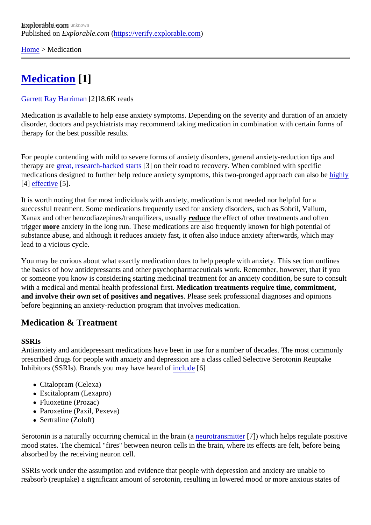[Home](https://verify.explorable.com/)> Medication

# [Medication](https://verify.explorable.com/e/medication) [1]

#### [Garrett Ray Harrima](https://verify.explorable.com/users/grharriman)<sup>[2]</sup>18.6K reads

Medication is available to help ease anxiety symptoms. Depending on the severity and duration of an anxi disorder, doctors and psychiatrists may recommend taking medication in combination with certain forms of therapy for the best possible results.

For people contending with mild to severe forms of anxiety disorders, general anxiety-reduction tips and therapy argreat, research-backed staßton their road to recovery. When combined with specific medications designed to further help reduce anxiety symptoms, this two-pronged approach canighliso be [4] [effective](http://archpsyc.jamanetwork.com/article.aspx?articleid=1897300)[5].

It is worth noting that for most individuals with anxiety, medication is not needed nor helpful for a successful treatment. Some medications frequently used for anxiety disorders, such as Sobril, Valium, Xanax and other benzodiazepines/tranquilizers, usually cethe effect of other treatments and often trigger more anxiety in the long run. These medications are also frequently known for high potential of substance abuse, and although it reduces anxiety fast, it often also induce anxiety afterwards, which may lead to a vicious cycle.

You may be curious about what exactly medication does to help people with anxiety. This section outlines the basics of how antidepressants and other psychopharmaceuticals work. Remember, however, that if you or someone you know is considering starting medicinal treatment for an anxiety condition, be sure to cons with a medical and mental health professional flotedication treatments require time, commitment, and involve their own set of positives and negative Blease seek professional diagnoses and opinions before beginning an anxiety-reduction program that involves medication.

## Medication & Treatment

### **SSRIs**

Antianxiety and antidepressant medications have been in use for a number of decades. The most common prescribed drugs for people with anxiety and depression are a class called Selective Serotonin Reuptake Inhibitors (SSRIs). Brands you may have hearth of ude [6]

- Citalopram (Celexa)
- Escitalopram (Lexapro)
- Fluoxetine (Prozac)
- Paroxetine (Paxil, Pexeva)
- Sertraline (Zoloft)

Serotonin is a naturally occurring chemical in the brain (a rotransmitter[7]) which helps regulate positive mood states. The chemical "fires" between neuron cells in the brain, where its effects are felt, before being absorbed by the receiving neuron cell.

SSRIs work under the assumption and evidence that people with depression and anxiety are unable to reabsorb (reuptake) a significant amount of serotonin, resulting in lowered mood or more anxious states o